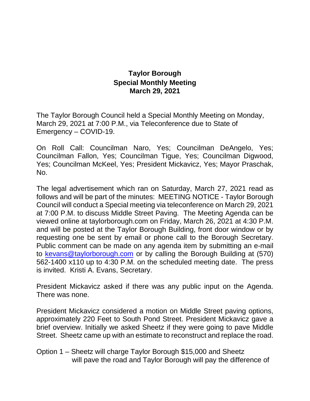## **Taylor Borough Special Monthly Meeting March 29, 2021**

The Taylor Borough Council held a Special Monthly Meeting on Monday, March 29, 2021 at 7:00 P.M., via Teleconference due to State of Emergency – COVID-19.

On Roll Call: Councilman Naro, Yes; Councilman DeAngelo, Yes; Councilman Fallon, Yes; Councilman Tigue, Yes; Councilman Digwood, Yes; Councilman McKeel, Yes; President Mickavicz, Yes; Mayor Praschak, No.

The legal advertisement which ran on Saturday, March 27, 2021 read as follows and will be part of the minutes: MEETING NOTICE - Taylor Borough Council will conduct a Special meeting via teleconference on March 29, 2021 at 7:00 P.M. to discuss Middle Street Paving. The Meeting Agenda can be viewed online at taylorborough.com on Friday, March 26, 2021 at 4:30 P.M. and will be posted at the Taylor Borough Building, front door window or by requesting one be sent by email or phone call to the Borough Secretary. Public comment can be made on any agenda item by submitting an e-mail to [kevans@taylorborough.com](mailto:kevans@taylorborough.com) or by calling the Borough Building at (570) 562-1400 x110 up to 4:30 P.M. on the scheduled meeting date. The press is invited. Kristi A. Evans, Secretary.

President Mickavicz asked if there was any public input on the Agenda. There was none.

President Mickavicz considered a motion on Middle Street paving options, approximately 220 Feet to South Pond Street. President Mickavicz gave a brief overview. Initially we asked Sheetz if they were going to pave Middle Street. Sheetz came up with an estimate to reconstruct and replace the road.

Option 1 – Sheetz will charge Taylor Borough \$15,000 and Sheetz will pave the road and Taylor Borough will pay the difference of